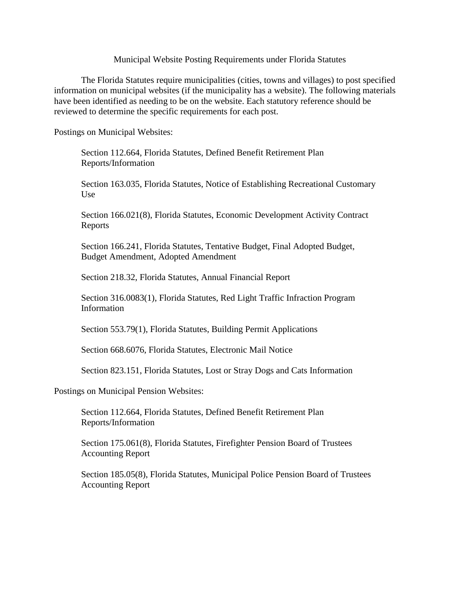## Municipal Website Posting Requirements under Florida Statutes

The Florida Statutes require municipalities (cities, towns and villages) to post specified information on municipal websites (if the municipality has a website). The following materials have been identified as needing to be on the website. Each statutory reference should be reviewed to determine the specific requirements for each post.

Postings on Municipal Websites:

Section 112.664, Florida Statutes, Defined Benefit Retirement Plan Reports/Information

Section 163.035, Florida Statutes, Notice of Establishing Recreational Customary Use

Section 166.021(8), Florida Statutes, Economic Development Activity Contract Reports

Section 166.241, Florida Statutes, Tentative Budget, Final Adopted Budget, Budget Amendment, Adopted Amendment

Section 218.32, Florida Statutes, Annual Financial Report

Section 316.0083(1), Florida Statutes, Red Light Traffic Infraction Program Information

Section 553.79(1), Florida Statutes, Building Permit Applications

Section 668.6076, Florida Statutes, Electronic Mail Notice

Section 823.151, Florida Statutes, Lost or Stray Dogs and Cats Information

Postings on Municipal Pension Websites:

Section 112.664, Florida Statutes, Defined Benefit Retirement Plan Reports/Information

Section 175.061(8), Florida Statutes, Firefighter Pension Board of Trustees Accounting Report

Section 185.05(8), Florida Statutes, Municipal Police Pension Board of Trustees Accounting Report